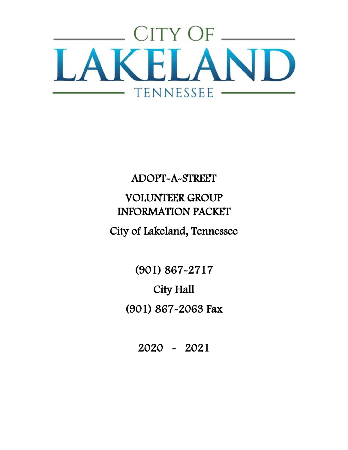

# ADOPT-A-STREET VOLUNTEER GROUP INFORMATION PACKET

# City of Lakeland, Tennessee

(901) 867-2717 City Hall (901) 867-2063 Fax

2020 - 2021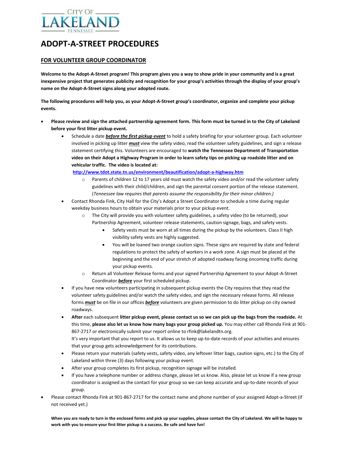

### **ADOPT-A-STREET PROCEDURES**

#### **FOR VOLUNTEER GROUP COORDINATOR**

**Welcome to the Adopt-A-Street program! This program gives you a way to show pride in your community and is a great inexpensive project that generates publicity and recognition for your group's activities through the display of your group's name on the Adopt-A-Street signs along your adopted route.**

**The following procedures will help you, as your Adopt-A-Street group's coordinator, organize and complete your pickup events.**

- **Please review and sign the attached partnership agreement form. This form must be turned in to the City of Lakeland before your first litter pickup event.**
	- Schedule a date *before the first pickup event* to hold a safety briefing for your volunteer group. Each volunteer involved in picking up litter *must* view the safety video, read the volunteer safety guidelines, and sign a release statement certifying this. Volunteers are encouraged to **watch the Tennessee Department of Transportation video on their Adopt a Highway Program in order to learn safety tips on picking up roadside litter and on vehicular traffic. The video is located at:**

**<http://www.tdot.state.tn.us/environment/beautification/adopt-a-highway.htm>**

- o Parents of children 12 to 17 years old must watch the safety video and/or read the volunteer safety guidelines with their child/children, and sign the parental consent portion of the release statement. (*Tennessee law requires that parents assume the responsibility for their minor children.)*
- Contact Rhonda Fink, City Hall for the City's Adopt a Street Coordinator to schedule a time during regular weekday business hours to obtain your materials prior to your pickup event.
	- o The City will provide you with volunteer safety guidelines, a safety video (to be returned), your Partnership Agreement, volunteer release statements, caution signage, bags, and safety vests.
		- Safety vests must be worn at all times during the pickup by the volunteers. Class II high visibility safety vests are highly suggested.
		- You will be loaned two orange caution signs. These signs are required by state and federal regulations to protect the safety of workers in a work zone. A sign must be placed at the beginning and the end of your stretch of adopted roadway facing oncoming traffic during your pickup events.
	- o Return all Volunteer Release forms and your signed Partnership Agreement to your Adopt-A-Street Coordinator *before* your first scheduled pickup.
- If you have new volunteers participating in subsequent pickup events the City requires that they read the volunteer safety guidelines and/or watch the safety video, and sign the necessary release forms. All release forms *must* be on file in our offices *before* volunteers are given permission to do litter pickup on city owned roadways.
- **After** each subsequent **litter pickup event, please contact us so we can pick up the bags from the roadside.** At this time, **please also let us know how many bags your group picked up.** You may either call Rhonda Fink at 901- 867-2717 or electronically submit your report online to rfink@lakelandtn.org. It's very important that you report to us. It allows us to keep up-to-date records of your activities and ensures that your group gets acknowledgement for its contributions.
- Please return your materials (safety vests, safety video, any leftover litter bags, caution signs, etc.) to the City of Lakeland within three (3) days following your pickup event.
- After your group completes its first pickup, recognition signage will be installed.
- If you have a telephone number or address change, please let us know. Also, please let us know if a new group coordinator is assigned as the contact for your group so we can keep accurate and up-to-date records of your group.
- Please contact Rhonda Fink at 901-867-2717 for the contact name and phone number of your assigned Adopt-a-Street (if not received yet.)

**When you are ready to turn in the enclosed forms and pick up your supplies, please contact the City of Lakeland. We will be happy to work with you to ensure your first litter pickup is a success. Be safe and have fun!**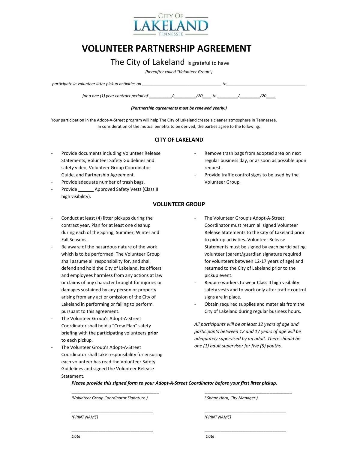

## **VOLUNTEER PARTNERSHIP AGREEMENT**

### The City of Lakeland is grateful to have

*(hereafter called "Volunteer Group")*

| participate in volunteer litter pickup activities on |  |
|------------------------------------------------------|--|
|                                                      |  |

*for a one (1) year contract period of \_\_\_\_\_\_\_\_\_\_/\_\_\_\_\_\_\_\_\_\_/20\_\_\_\_ to \_\_\_\_\_\_\_\_\_/\_\_\_\_\_\_\_\_\_/20\_\_\_\_*

#### *(Partnership agreements must be renewed yearly.)*

Your participation in the Adopt-A-Street program will help The City of Lakeland create a cleaner atmosphere in Tennessee. In consideration of the mutual benefits to be derived, the parties agree to the following:

### **CITY OF LAKELAND**

- Provide documents including Volunteer Release Statements, Volunteer Safety Guidelines and safety video, Volunteer Group Coordinator Guide, and Partnership Agreement.
- Provide adequate number of trash bags.
- Provide Approved Safety Vests (Class II high visibility).
- Conduct at least (4) litter pickups during the contract year. Plan for at least one cleanup during each of the Spring, Summer, Winter and Fall Seasons.
- Be aware of the hazardous nature of the work which is to be performed. The Volunteer Group shall assume all responsibility for, and shall defend and hold the City of Lakeland, its officers and employees harmless from any actions at law or claims of any character brought for injuries or damages sustained by any person or property arising from any act or omission of the City of Lakeland in performing or failing to perform pursuant to this agreement.
- The Volunteer Group's Adopt-A-Street Coordinator shall hold a "Crew Plan" safety briefing with the participating volunteers **prior** to each pickup.
- The Volunteer Group's Adopt-A-Street Coordinator shall take responsibility for ensuring each volunteer has read the Volunteer Safety Guidelines and signed the Volunteer Release Statement.
- Remove trash bags from adopted area on next regular business day, or as soon as possible upon request.
- Provide traffic control signs to be used by the Volunteer Group.

### **VOLUNTEER GROUP**

- The Volunteer Group's Adopt-A-Street Coordinator must return all signed Volunteer Release Statements to the City of Lakeland prior to pick-up activities. Volunteer Release Statements must be signed by each participating volunteer (parent/guardian signature required for volunteers between 12-17 years of age) and returned to the City of Lakeland prior to the pickup event.
- Require workers to wear Class II high visibility safety vests and to work only after traffic control signs are in place.
- Obtain required supplies and materials from the City of Lakeland during regular business hours.

*All participants will be at least 12 years of age and participants between 12 and 17 years of age will be adequately supervised by an adult. There should be one (1) adult supervisor for five (5) youths.*

*Please provide this signed form to your Adopt-A-Street Coordinator before your first litter pickup.*

\_\_\_\_\_\_\_\_\_\_\_\_\_\_\_\_\_\_\_\_\_\_\_\_\_\_\_\_\_\_\_ \_\_\_\_\_\_\_\_\_\_\_\_\_\_\_\_\_\_\_\_\_\_\_\_\_\_\_\_\_\_\_

\_\_\_\_\_\_\_\_\_\_\_\_\_\_\_\_\_\_\_\_\_\_\_\_\_\_\_\_\_\_\_\_\_\_\_\_ \_\_\_\_\_\_\_\_\_\_\_\_\_\_\_\_\_\_\_\_\_\_\_\_\_\_\_\_\_\_\_\_\_\_\_\_

*(Volunteer Group Coordinator Signature ) ( Shane Horn, City Manager )*

*\_\_\_\_\_\_\_\_\_\_\_\_\_\_\_\_\_\_\_\_\_\_\_\_\_\_\_\_\_\_\_\_\_\_\_\_* \_\_\_\_\_\_\_\_\_\_\_\_\_\_\_\_\_\_\_\_\_\_\_\_\_\_\_\_\_\_\_\_\_\_\_\_

*(PRINT NAME) (PRINT NAME)*

*Date Date*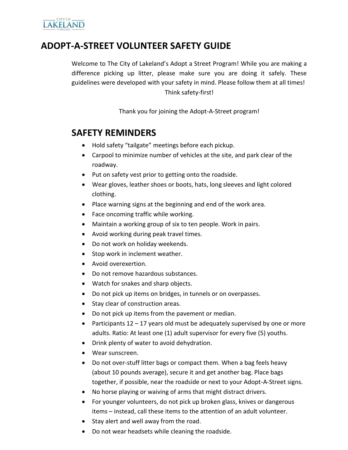

### **ADOPT-A-STREET VOLUNTEER SAFETY GUIDE**

Welcome to The City of Lakeland's Adopt a Street Program! While you are making a difference picking up litter, please make sure you are doing it safely. These guidelines were developed with your safety in mind. Please follow them at all times! Think safety-first!

Thank you for joining the Adopt-A-Street program!

### **SAFETY REMINDERS**

- Hold safety "tailgate" meetings before each pickup.
- Carpool to minimize number of vehicles at the site, and park clear of the roadway.
- Put on safety vest prior to getting onto the roadside.
- Wear gloves, leather shoes or boots, hats, long sleeves and light colored clothing.
- Place warning signs at the beginning and end of the work area.
- Face oncoming traffic while working.
- Maintain a working group of six to ten people. Work in pairs.
- Avoid working during peak travel times.
- Do not work on holiday weekends.
- Stop work in inclement weather.
- Avoid overexertion.
- Do not remove hazardous substances.
- Watch for snakes and sharp objects.
- Do not pick up items on bridges, in tunnels or on overpasses.
- Stay clear of construction areas.
- Do not pick up items from the pavement or median.
- Participants  $12 17$  years old must be adequately supervised by one or more adults. Ratio: At least one (1) adult supervisor for every five (5) youths.
- Drink plenty of water to avoid dehydration.
- Wear sunscreen.
- Do not over-stuff litter bags or compact them. When a bag feels heavy (about 10 pounds average), secure it and get another bag. Place bags together, if possible, near the roadside or next to your Adopt-A-Street signs.
- No horse playing or waiving of arms that might distract drivers.
- For younger volunteers, do not pick up broken glass, knives or dangerous items – instead, call these items to the attention of an adult volunteer.
- Stay alert and well away from the road.
- Do not wear headsets while cleaning the roadside.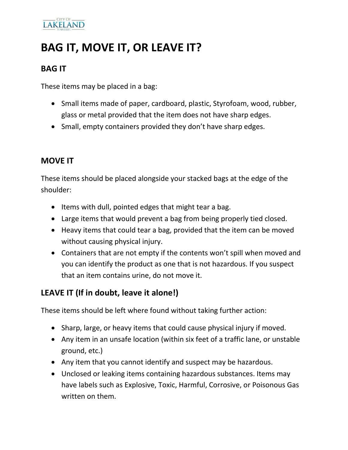# **LAKELAND**

# **BAG IT, MOVE IT, OR LEAVE IT?**

### **BAG IT**

These items may be placed in a bag:

- Small items made of paper, cardboard, plastic, Styrofoam, wood, rubber, glass or metal provided that the item does not have sharp edges.
- Small, empty containers provided they don't have sharp edges.

### **MOVE IT**

These items should be placed alongside your stacked bags at the edge of the shoulder:

- Items with dull, pointed edges that might tear a bag.
- Large items that would prevent a bag from being properly tied closed.
- Heavy items that could tear a bag, provided that the item can be moved without causing physical injury.
- Containers that are not empty if the contents won't spill when moved and you can identify the product as one that is not hazardous. If you suspect that an item contains urine, do not move it.

### **LEAVE IT (If in doubt, leave it alone!)**

These items should be left where found without taking further action:

- Sharp, large, or heavy items that could cause physical injury if moved.
- Any item in an unsafe location (within six feet of a traffic lane, or unstable ground, etc.)
- Any item that you cannot identify and suspect may be hazardous.
- Unclosed or leaking items containing hazardous substances. Items may have labels such as Explosive, Toxic, Harmful, Corrosive, or Poisonous Gas written on them.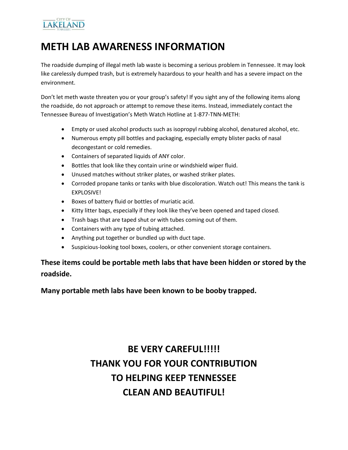### CITY OF **LAKELAND**

## **METH LAB AWARENESS INFORMATION**

The roadside dumping of illegal meth lab waste is becoming a serious problem in Tennessee. It may look like carelessly dumped trash, but is extremely hazardous to your health and has a severe impact on the environment.

Don't let meth waste threaten you or your group's safety! If you sight any of the following items along the roadside, do not approach or attempt to remove these items. Instead, immediately contact the Tennessee Bureau of Investigation's Meth Watch Hotline at 1-877-TNN-METH:

- Empty or used alcohol products such as isopropyl rubbing alcohol, denatured alcohol, etc.
- Numerous empty pill bottles and packaging, especially empty blister packs of nasal decongestant or cold remedies.
- Containers of separated liquids of ANY color.
- Bottles that look like they contain urine or windshield wiper fluid.
- Unused matches without striker plates, or washed striker plates.
- Corroded propane tanks or tanks with blue discoloration. Watch out! This means the tank is EXPLOSIVE!
- Boxes of battery fluid or bottles of muriatic acid.
- Kitty litter bags, especially if they look like they've been opened and taped closed.
- Trash bags that are taped shut or with tubes coming out of them.
- Containers with any type of tubing attached.
- Anything put together or bundled up with duct tape.
- Suspicious-looking tool boxes, coolers, or other convenient storage containers.

**These items could be portable meth labs that have been hidden or stored by the roadside.**

**Many portable meth labs have been known to be booby trapped.**

# **BE VERY CAREFUL!!!!! THANK YOU FOR YOUR CONTRIBUTION TO HELPING KEEP TENNESSEE CLEAN AND BEAUTIFUL!**